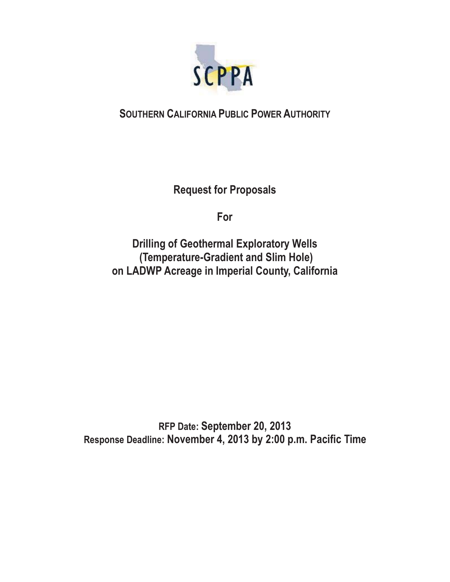

# **SOUTHERN CALIFORNIA PUBLIC POWER AUTHORITY**

**Request for Proposals** 

**For** 

**Drilling of Geothermal Exploratory Wells (Temperature-Gradient and Slim Hole) on LADWP Acreage in Imperial County, California** 

**RFP Date: September 20, 2013 Response Deadline: November 4, 2013 by 2:00 p.m. Pacific Time**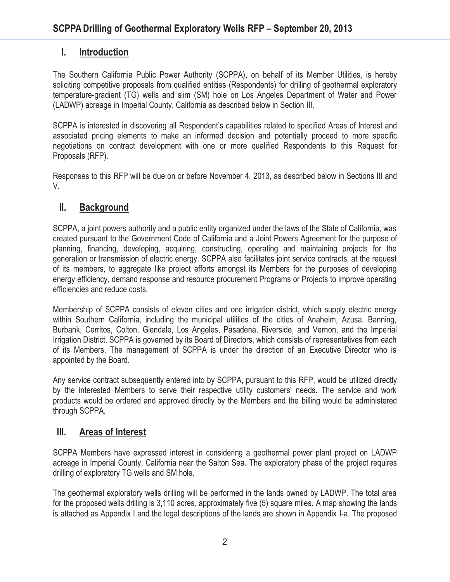# **I. Introduction**

The Southern California Public Power Authority (SCPPA), on behalf of its Member Utilities, is hereby soliciting competitive proposals from qualified entities (Respondents) for drilling of geothermal exploratory temperature-gradient (TG) wells and slim (SM) hole on Los Angeles Department of Water and Power (LADWP) acreage in Imperial County, California as described below in Section III.

SCPPA is interested in discovering all Respondent's capabilities related to specified Areas of Interest and associated pricing elements to make an informed decision and potentially proceed to more specific negotiations on contract development with one or more qualified Respondents to this Request for Proposals (RFP).

Responses to this RFP will be due on or before November 4, 2013, as described below in Sections III and V.

### **II. Background**

SCPPA, a joint powers authority and a public entity organized under the laws of the State of California, was created pursuant to the Government Code of California and a Joint Powers Agreement for the purpose of planning, financing, developing, acquiring, constructing, operating and maintaining projects for the generation or transmission of electric energy. SCPPA also facilitates joint service contracts, at the request of its members, to aggregate like project efforts amongst its Members for the purposes of developing energy efficiency, demand response and resource procurement Programs or Projects to improve operating efficiencies and reduce costs.

Membership of SCPPA consists of eleven cities and one irrigation district, which supply electric energy within Southern California, including the municipal utilities of the cities of Anaheim, Azusa, Banning, Burbank, Cerritos, Colton, Glendale, Los Angeles, Pasadena, Riverside, and Vernon, and the Imperial Irrigation District. SCPPA is governed by its Board of Directors, which consists of representatives from each of its Members. The management of SCPPA is under the direction of an Executive Director who is appointed by the Board.

Any service contract subsequently entered into by SCPPA, pursuant to this RFP, would be utilized directly by the interested Members to serve their respective utility customers' needs. The service and work products would be ordered and approved directly by the Members and the billing would be administered through SCPPA.

# **III. Areas of Interest**

SCPPA Members have expressed interest in considering a geothermal power plant project on LADWP acreage in Imperial County, California near the Salton Sea. The exploratory phase of the project requires drilling of exploratory TG wells and SM hole.

The geothermal exploratory wells drilling will be performed in the lands owned by LADWP. The total area for the proposed wells drilling is 3,110 acres, approximately five (5) square miles. A map showing the lands is attached as Appendix I and the legal descriptions of the lands are shown in Appendix I-a. The proposed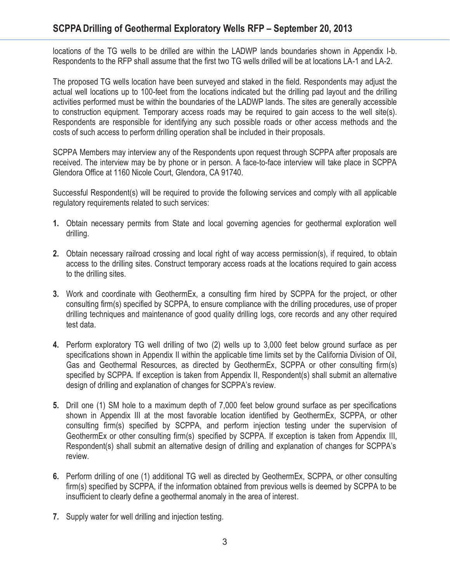locations of the TG wells to be drilled are within the LADWP lands boundaries shown in Appendix I-b. Respondents to the RFP shall assume that the first two TG wells drilled will be at locations LA-1 and LA-2.

The proposed TG wells location have been surveyed and staked in the field. Respondents may adjust the actual well locations up to 100-feet from the locations indicated but the drilling pad layout and the drilling activities performed must be within the boundaries of the LADWP lands. The sites are generally accessible to construction equipment. Temporary access roads may be required to gain access to the well site(s). Respondents are responsible for identifying any such possible roads or other access methods and the costs of such access to perform drilling operation shall be included in their proposals.

SCPPA Members may interview any of the Respondents upon request through SCPPA after proposals are received. The interview may be by phone or in person. A face-to-face interview will take place in SCPPA Glendora Office at 1160 Nicole Court, Glendora, CA 91740.

Successful Respondent(s) will be required to provide the following services and comply with all applicable regulatory requirements related to such services:

- **1.** Obtain necessary permits from State and local governing agencies for geothermal exploration well drilling.
- **2.** Obtain necessary railroad crossing and local right of way access permission(s), if required, to obtain access to the drilling sites. Construct temporary access roads at the locations required to gain access to the drilling sites.
- **3.** Work and coordinate with GeothermEx, a consulting firm hired by SCPPA for the project, or other consulting firm(s) specified by SCPPA, to ensure compliance with the drilling procedures, use of proper drilling techniques and maintenance of good quality drilling logs, core records and any other required test data.
- **4.** Perform exploratory TG well drilling of two (2) wells up to 3,000 feet below ground surface as per specifications shown in Appendix II within the applicable time limits set by the California Division of Oil, Gas and Geothermal Resources, as directed by GeothermEx, SCPPA or other consulting firm(s) specified by SCPPA. If exception is taken from Appendix II, Respondent(s) shall submit an alternative design of drilling and explanation of changes for SCPPA's review.
- **5.** Drill one (1) SM hole to a maximum depth of 7,000 feet below ground surface as per specifications shown in Appendix III at the most favorable location identified by GeothermEx, SCPPA, or other consulting firm(s) specified by SCPPA, and perform injection testing under the supervision of GeothermEx or other consulting firm(s) specified by SCPPA. If exception is taken from Appendix III, Respondent(s) shall submit an alternative design of drilling and explanation of changes for SCPPA's review.
- **6.** Perform drilling of one (1) additional TG well as directed by GeothermEx, SCPPA, or other consulting firm(s) specified by SCPPA, if the information obtained from previous wells is deemed by SCPPA to be insufficient to clearly define a geothermal anomaly in the area of interest.
- **7.** Supply water for well drilling and injection testing.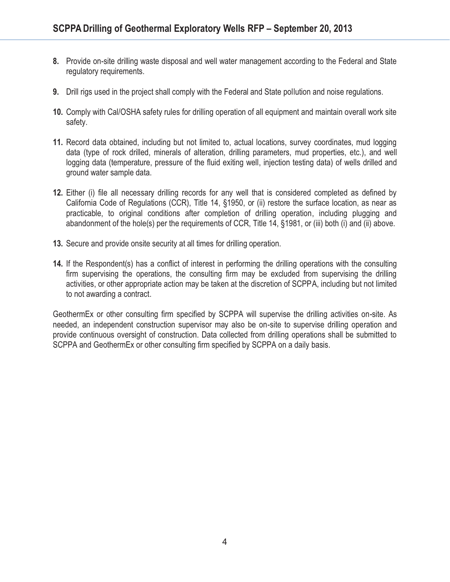- **8.** Provide on-site drilling waste disposal and well water management according to the Federal and State regulatory requirements.
- **9.** Drill rigs used in the project shall comply with the Federal and State pollution and noise regulations.
- **10.** Comply with Cal/OSHA safety rules for drilling operation of all equipment and maintain overall work site safety.
- **11.** Record data obtained, including but not limited to, actual locations, survey coordinates, mud logging data (type of rock drilled, minerals of alteration, drilling parameters, mud properties, etc.), and well logging data (temperature, pressure of the fluid exiting well, injection testing data) of wells drilled and ground water sample data.
- **12.** Either (i) file all necessary drilling records for any well that is considered completed as defined by California Code of Regulations (CCR), Title 14, §1950, or (ii) restore the surface location, as near as practicable, to original conditions after completion of drilling operation, including plugging and abandonment of the hole(s) per the requirements of CCR, Title 14, §1981, or (iii) both (i) and (ii) above.
- **13.** Secure and provide onsite security at all times for drilling operation.
- **14.** If the Respondent(s) has a conflict of interest in performing the drilling operations with the consulting firm supervising the operations, the consulting firm may be excluded from supervising the drilling activities, or other appropriate action may be taken at the discretion of SCPPA, including but not limited to not awarding a contract.

GeothermEx or other consulting firm specified by SCPPA will supervise the drilling activities on-site. As needed, an independent construction supervisor may also be on-site to supervise drilling operation and provide continuous oversight of construction. Data collected from drilling operations shall be submitted to SCPPA and GeothermEx or other consulting firm specified by SCPPA on a daily basis.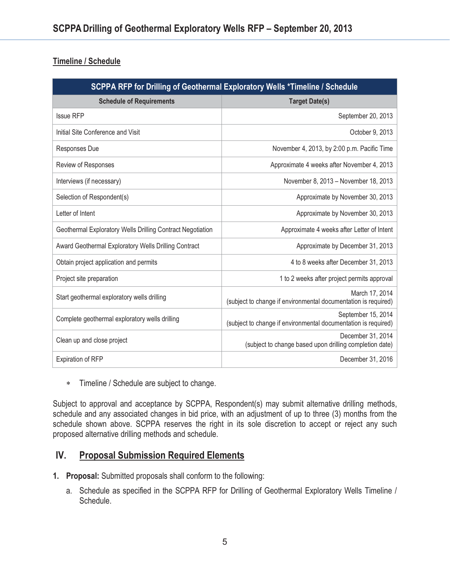### **Timeline / Schedule**

| SCPPA RFP for Drilling of Geothermal Exploratory Wells *Timeline / Schedule |                                                                                      |
|-----------------------------------------------------------------------------|--------------------------------------------------------------------------------------|
| <b>Schedule of Requirements</b>                                             | <b>Target Date(s)</b>                                                                |
| <b>Issue RFP</b>                                                            | September 20, 2013                                                                   |
| Initial Site Conference and Visit                                           | October 9, 2013                                                                      |
| Responses Due                                                               | November 4, 2013, by 2:00 p.m. Pacific Time                                          |
| Review of Responses                                                         | Approximate 4 weeks after November 4, 2013                                           |
| Interviews (if necessary)                                                   | November 8, 2013 - November 18, 2013                                                 |
| Selection of Respondent(s)                                                  | Approximate by November 30, 2013                                                     |
| Letter of Intent                                                            | Approximate by November 30, 2013                                                     |
| Geothermal Exploratory Wells Drilling Contract Negotiation                  | Approximate 4 weeks after Letter of Intent                                           |
| Award Geothermal Exploratory Wells Drilling Contract                        | Approximate by December 31, 2013                                                     |
| Obtain project application and permits                                      | 4 to 8 weeks after December 31, 2013                                                 |
| Project site preparation                                                    | 1 to 2 weeks after project permits approval                                          |
| Start geothermal exploratory wells drilling                                 | March 17, 2014<br>(subject to change if environmental documentation is required)     |
| Complete geothermal exploratory wells drilling                              | September 15, 2014<br>(subject to change if environmental documentation is required) |
| Clean up and close project                                                  | December 31, 2014<br>(subject to change based upon drilling completion date)         |
| <b>Expiration of RFP</b>                                                    | December 31, 2016                                                                    |

- Timeline / Schedule are subject to change.

Subject to approval and acceptance by SCPPA, Respondent(s) may submit alternative drilling methods, schedule and any associated changes in bid price, with an adjustment of up to three (3) months from the schedule shown above. SCPPA reserves the right in its sole discretion to accept or reject any such proposed alternative drilling methods and schedule.

### **IV. Proposal Submission Required Elements**

- **1. Proposal:** Submitted proposals shall conform to the following:
	- a. Schedule as specified in the SCPPA RFP for Drilling of Geothermal Exploratory Wells Timeline / Schedule.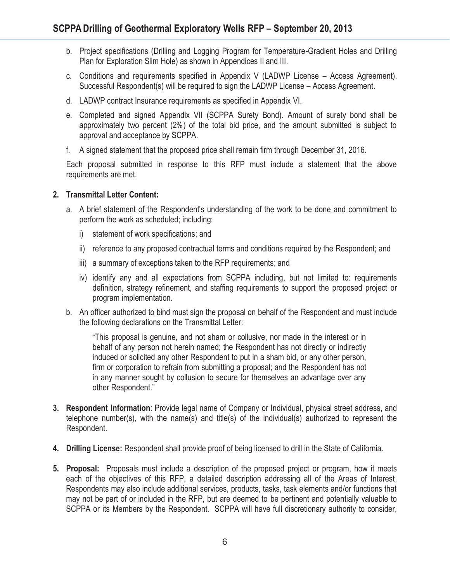- b. Project specifications (Drilling and Logging Program for Temperature-Gradient Holes and Drilling Plan for Exploration Slim Hole) as shown in Appendices II and III.
- c. Conditions and requirements specified in Appendix V (LADWP License Access Agreement). Successful Respondent(s) will be required to sign the LADWP License – Access Agreement.
- d. LADWP contract Insurance requirements as specified in Appendix VI.
- e. Completed and signed Appendix VII (SCPPA Surety Bond). Amount of surety bond shall be approximately two percent (2%) of the total bid price, and the amount submitted is subject to approval and acceptance by SCPPA.
- f. A signed statement that the proposed price shall remain firm through December 31, 2016.

Each proposal submitted in response to this RFP must include a statement that the above requirements are met.

#### **2. Transmittal Letter Content:**

- a. A brief statement of the Respondent's understanding of the work to be done and commitment to perform the work as scheduled; including:
	- i) statement of work specifications; and
	- ii) reference to any proposed contractual terms and conditions required by the Respondent; and
	- iii) a summary of exceptions taken to the RFP requirements; and
	- iv) identify any and all expectations from SCPPA including, but not limited to: requirements definition, strategy refinement, and staffing requirements to support the proposed project or program implementation.
- b. An officer authorized to bind must sign the proposal on behalf of the Respondent and must include the following declarations on the Transmittal Letter:

"This proposal is genuine, and not sham or collusive, nor made in the interest or in behalf of any person not herein named; the Respondent has not directly or indirectly induced or solicited any other Respondent to put in a sham bid, or any other person, firm or corporation to refrain from submitting a proposal; and the Respondent has not in any manner sought by collusion to secure for themselves an advantage over any other Respondent."

- **3. Respondent Information**: Provide legal name of Company or Individual, physical street address, and telephone number(s), with the name(s) and title(s) of the individual(s) authorized to represent the Respondent.
- **4. Drilling License:** Respondent shall provide proof of being licensed to drill in the State of California.
- **5. Proposal:** Proposals must include a description of the proposed project or program, how it meets each of the objectives of this RFP, a detailed description addressing all of the Areas of Interest. Respondents may also include additional services, products, tasks, task elements and/or functions that may not be part of or included in the RFP, but are deemed to be pertinent and potentially valuable to SCPPA or its Members by the Respondent. SCPPA will have full discretionary authority to consider,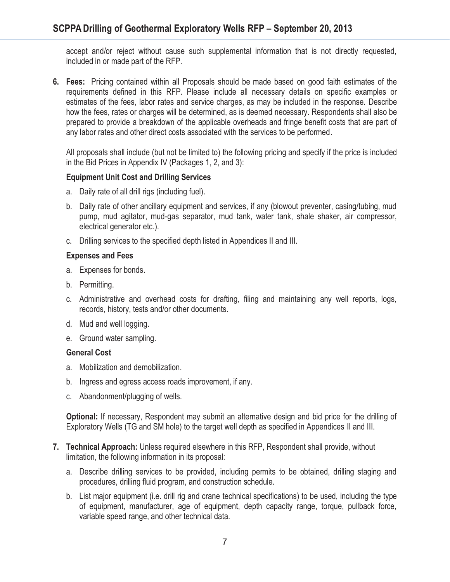accept and/or reject without cause such supplemental information that is not directly requested, included in or made part of the RFP.

**6. Fees:** Pricing contained within all Proposals should be made based on good faith estimates of the requirements defined in this RFP. Please include all necessary details on specific examples or estimates of the fees, labor rates and service charges, as may be included in the response. Describe how the fees, rates or charges will be determined, as is deemed necessary. Respondents shall also be prepared to provide a breakdown of the applicable overheads and fringe benefit costs that are part of any labor rates and other direct costs associated with the services to be performed.

All proposals shall include (but not be limited to) the following pricing and specify if the price is included in the Bid Prices in Appendix IV (Packages 1, 2, and 3):

#### **Equipment Unit Cost and Drilling Services**

- a. Daily rate of all drill rigs (including fuel).
- b. Daily rate of other ancillary equipment and services, if any (blowout preventer, casing/tubing, mud pump, mud agitator, mud-gas separator, mud tank, water tank, shale shaker, air compressor, electrical generator etc.).
- c. Drilling services to the specified depth listed in Appendices II and III.

#### **Expenses and Fees**

- a. Expenses for bonds.
- b. Permitting.
- c. Administrative and overhead costs for drafting, filing and maintaining any well reports, logs, records, history, tests and/or other documents.
- d. Mud and well logging.
- e. Ground water sampling.

#### **General Cost**

- a. Mobilization and demobilization.
- b. Ingress and egress access roads improvement, if any.
- c. Abandonment/plugging of wells.

**Optional:** If necessary, Respondent may submit an alternative design and bid price for the drilling of Exploratory Wells (TG and SM hole) to the target well depth as specified in Appendices II and III.

- **7. Technical Approach:** Unless required elsewhere in this RFP, Respondent shall provide, without limitation, the following information in its proposal:
	- a. Describe drilling services to be provided, including permits to be obtained, drilling staging and procedures, drilling fluid program, and construction schedule.
	- b. List major equipment (i.e. drill rig and crane technical specifications) to be used, including the type of equipment, manufacturer, age of equipment, depth capacity range, torque, pullback force, variable speed range, and other technical data.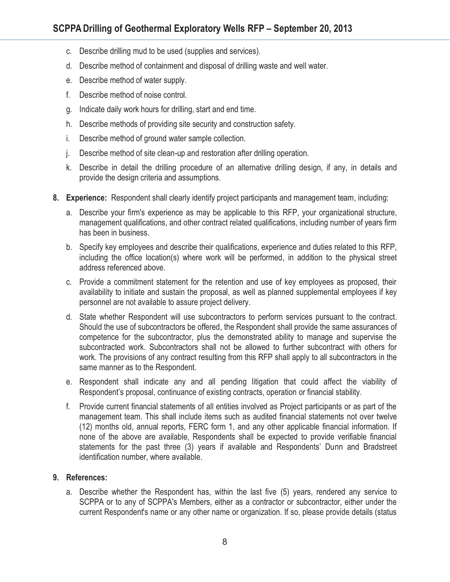- c. Describe drilling mud to be used (supplies and services).
- d. Describe method of containment and disposal of drilling waste and well water.
- e. Describe method of water supply.
- f. Describe method of noise control.
- g. Indicate daily work hours for drilling, start and end time.
- h. Describe methods of providing site security and construction safety.
- i. Describe method of ground water sample collection.
- j. Describe method of site clean-up and restoration after drilling operation.
- k. Describe in detail the drilling procedure of an alternative drilling design, if any, in details and provide the design criteria and assumptions.
- **8. Experience:** Respondent shall clearly identify project participants and management team, including:
	- a. Describe your firm's experience as may be applicable to this RFP, your organizational structure, management qualifications, and other contract related qualifications, including number of years firm has been in business.
	- b. Specify key employees and describe their qualifications, experience and duties related to this RFP, including the office location(s) where work will be performed, in addition to the physical street address referenced above.
	- c. Provide a commitment statement for the retention and use of key employees as proposed, their availability to initiate and sustain the proposal, as well as planned supplemental employees if key personnel are not available to assure project delivery.
	- d. State whether Respondent will use subcontractors to perform services pursuant to the contract. Should the use of subcontractors be offered, the Respondent shall provide the same assurances of competence for the subcontractor, plus the demonstrated ability to manage and supervise the subcontracted work. Subcontractors shall not be allowed to further subcontract with others for work. The provisions of any contract resulting from this RFP shall apply to all subcontractors in the same manner as to the Respondent.
	- e. Respondent shall indicate any and all pending litigation that could affect the viability of Respondent's proposal, continuance of existing contracts, operation or financial stability.
	- f. Provide current financial statements of all entities involved as Project participants or as part of the management team. This shall include items such as audited financial statements not over twelve (12) months old, annual reports, FERC form 1, and any other applicable financial information. If none of the above are available, Respondents shall be expected to provide verifiable financial statements for the past three (3) years if available and Respondents' Dunn and Bradstreet identification number, where available.

#### **9. References:**

a. Describe whether the Respondent has, within the last five (5) years, rendered any service to SCPPA or to any of SCPPA's Members, either as a contractor or subcontractor, either under the current Respondent's name or any other name or organization. If so, please provide details (status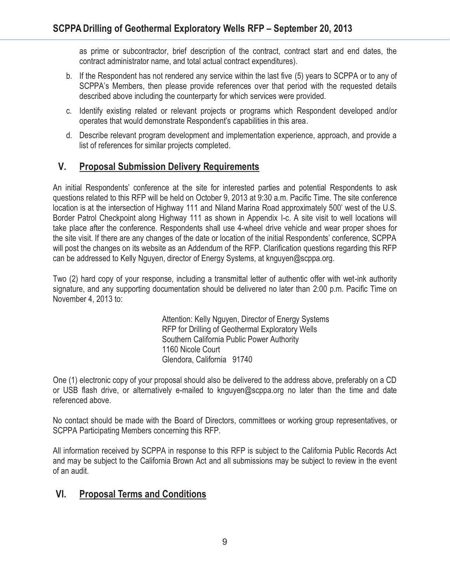as prime or subcontractor, brief description of the contract, contract start and end dates, the contract administrator name, and total actual contract expenditures).

- b. If the Respondent has not rendered any service within the last five (5) years to SCPPA or to any of SCPPA's Members, then please provide references over that period with the requested details described above including the counterparty for which services were provided.
- c. Identify existing related or relevant projects or programs which Respondent developed and/or operates that would demonstrate Respondent's capabilities in this area.
- d. Describe relevant program development and implementation experience, approach, and provide a list of references for similar projects completed.

# **V. Proposal Submission Delivery Requirements**

An initial Respondents' conference at the site for interested parties and potential Respondents to ask questions related to this RFP will be held on October 9, 2013 at 9:30 a.m. Pacific Time. The site conference location is at the intersection of Highway 111 and Niland Marina Road approximately 500' west of the U.S. Border Patrol Checkpoint along Highway 111 as shown in Appendix I-c. A site visit to well locations will take place after the conference. Respondents shall use 4-wheel drive vehicle and wear proper shoes for the site visit. If there are any changes of the date or location of the initial Respondents' conference, SCPPA will post the changes on its website as an Addendum of the RFP. Clarification questions regarding this RFP can be addressed to Kelly Nguyen, director of Energy Systems, at knguyen@scppa.org.

Two (2) hard copy of your response, including a transmittal letter of authentic offer with wet-ink authority signature, and any supporting documentation should be delivered no later than 2:00 p.m. Pacific Time on November 4, 2013 to:

> Attention: Kelly Nguyen, Director of Energy Systems RFP for Drilling of Geothermal Exploratory Wells Southern California Public Power Authority 1160 Nicole Court Glendora, California 91740

One (1) electronic copy of your proposal should also be delivered to the address above, preferably on a CD or USB flash drive, or alternatively e-mailed to knguyen@scppa.org no later than the time and date referenced above.

No contact should be made with the Board of Directors, committees or working group representatives, or SCPPA Participating Members concerning this RFP.

All information received by SCPPA in response to this RFP is subject to the California Public Records Act and may be subject to the California Brown Act and all submissions may be subject to review in the event of an audit.

# **VI. Proposal Terms and Conditions**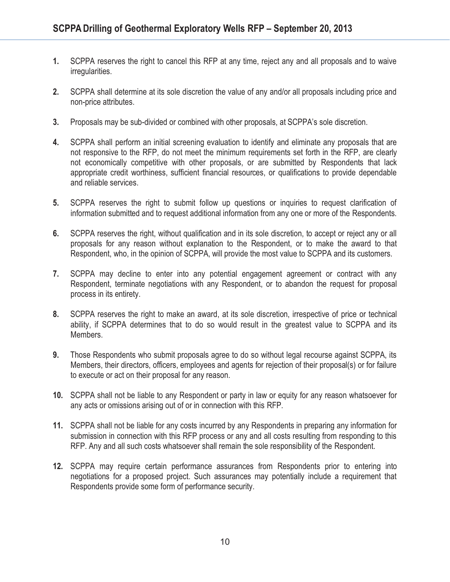- **1.** SCPPA reserves the right to cancel this RFP at any time, reject any and all proposals and to waive irregularities.
- **2.** SCPPA shall determine at its sole discretion the value of any and/or all proposals including price and non-price attributes.
- **3.** Proposals may be sub-divided or combined with other proposals, at SCPPA's sole discretion.
- **4.** SCPPA shall perform an initial screening evaluation to identify and eliminate any proposals that are not responsive to the RFP, do not meet the minimum requirements set forth in the RFP, are clearly not economically competitive with other proposals, or are submitted by Respondents that lack appropriate credit worthiness, sufficient financial resources, or qualifications to provide dependable and reliable services.
- **5.** SCPPA reserves the right to submit follow up questions or inquiries to request clarification of information submitted and to request additional information from any one or more of the Respondents.
- **6.** SCPPA reserves the right, without qualification and in its sole discretion, to accept or reject any or all proposals for any reason without explanation to the Respondent, or to make the award to that Respondent, who, in the opinion of SCPPA, will provide the most value to SCPPA and its customers.
- **7.** SCPPA may decline to enter into any potential engagement agreement or contract with any Respondent, terminate negotiations with any Respondent, or to abandon the request for proposal process in its entirety.
- **8.** SCPPA reserves the right to make an award, at its sole discretion, irrespective of price or technical ability, if SCPPA determines that to do so would result in the greatest value to SCPPA and its Members.
- **9.** Those Respondents who submit proposals agree to do so without legal recourse against SCPPA, its Members, their directors, officers, employees and agents for rejection of their proposal(s) or for failure to execute or act on their proposal for any reason.
- **10.** SCPPA shall not be liable to any Respondent or party in law or equity for any reason whatsoever for any acts or omissions arising out of or in connection with this RFP.
- **11.** SCPPA shall not be liable for any costs incurred by any Respondents in preparing any information for submission in connection with this RFP process or any and all costs resulting from responding to this RFP. Any and all such costs whatsoever shall remain the sole responsibility of the Respondent.
- **12.** SCPPA may require certain performance assurances from Respondents prior to entering into negotiations for a proposed project. Such assurances may potentially include a requirement that Respondents provide some form of performance security.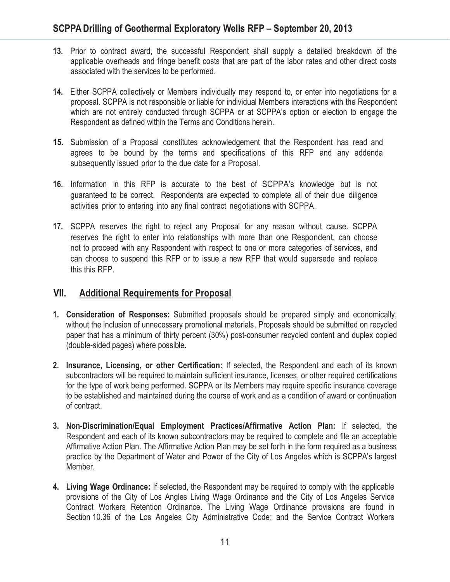- **13.** Prior to contract award, the successful Respondent shall supply a detailed breakdown of the applicable overheads and fringe benefit costs that are part of the labor rates and other direct costs associated with the services to be performed.
- **14.** Either SCPPA collectively or Members individually may respond to, or enter into negotiations for a proposal. SCPPA is not responsible or liable for individual Members interactions with the Respondent which are not entirely conducted through SCPPA or at SCPPA's option or election to engage the Respondent as defined within the Terms and Conditions herein.
- **15.** Submission of a Proposal constitutes acknowledgement that the Respondent has read and agrees to be bound by the terms and specifications of this RFP and any addenda subsequently issued prior to the due date for a Proposal.
- **16.** Information in this RFP is accurate to the best of SCPPA's knowledge but is not guaranteed to be correct. Respondents are expected to complete all of their due diligence activities prior to entering into any final contract negotiations with SCPPA.
- **17.** SCPPA reserves the right to reject any Proposal for any reason without cause. SCPPA reserves the right to enter into relationships with more than one Respondent, can choose not to proceed with any Respondent with respect to one or more categories of services, and can choose to suspend this RFP or to issue a new RFP that would supersede and replace this this RFP.

### **VII. Additional Requirements for Proposal**

- **1. Consideration of Responses:** Submitted proposals should be prepared simply and economically, without the inclusion of unnecessary promotional materials. Proposals should be submitted on recycled paper that has a minimum of thirty percent (30%) post-consumer recycled content and duplex copied (double-sided pages) where possible.
- **2. Insurance, Licensing, or other Certification:** If selected, the Respondent and each of its known subcontractors will be required to maintain sufficient insurance, licenses, or other required certifications for the type of work being performed. SCPPA or its Members may require specific insurance coverage to be established and maintained during the course of work and as a condition of award or continuation of contract.
- **3. Non-Discrimination/Equal Employment Practices/Affirmative Action Plan:** If selected, the Respondent and each of its known subcontractors may be required to complete and file an acceptable Affirmative Action Plan. The Affirmative Action Plan may be set forth in the form required as a business practice by the Department of Water and Power of the City of Los Angeles which is SCPPA's largest Member.
- **4. Living Wage Ordinance:** If selected, the Respondent may be required to comply with the applicable provisions of the City of Los Angles Living Wage Ordinance and the City of Los Angeles Service Contract Workers Retention Ordinance. The Living Wage Ordinance provisions are found in Section 10.36 of the Los Angeles City Administrative Code; and the Service Contract Workers